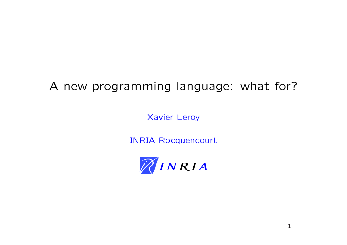# A new programming language: what for?

Xavier Leroy

INRIA Rocquencourt

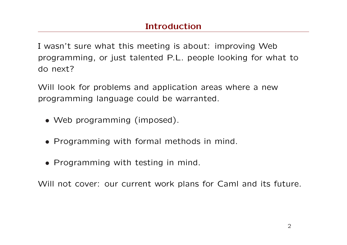I wasn't sure what this meeting is about: improving Web programming, or just talented P.L. people looking for what to do next?

Will look for problems and application areas where a new programming language could be warranted.

- Web programming (imposed).
- Programming with formal methods in mind.
- Programming with testing in mind.

Will not cover: our current work plans for Caml and its future.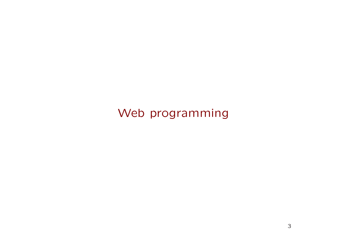Web programming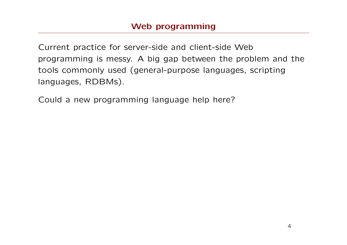Current practice for server-side and client-side Web programming is messy. A big gap between the problem and the tools commonly used (general-purpose languages, scripting languages, RDBMs).

Could a new programming language help here?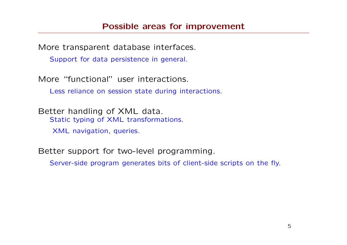More transparent database interfaces.

Support for data persistence in general.

More "functional" user interactions.

Less reliance on session state during interactions.

Better handling of XML data. Static typing of XML transformations.

XML navigation, queries.

Better support for two-level programming.

Server-side program generates bits of client-side scripts on the fly.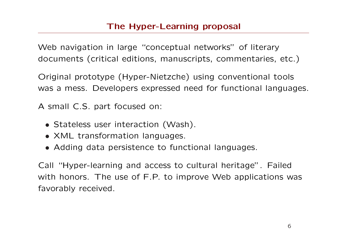Web navigation in large "conceptual networks" of literary documents (critical editions, manuscripts, commentaries, etc.)

Original prototype (Hyper-Nietzche) using conventional tools was a mess. Developers expressed need for functional languages.

A small C.S. part focused on:

- Stateless user interaction (Wash).
- XML transformation languages.
- Adding data persistence to functional languages.

Call "Hyper-learning and access to cultural heritage". Failed with honors. The use of F.P. to improve Web applications was favorably received.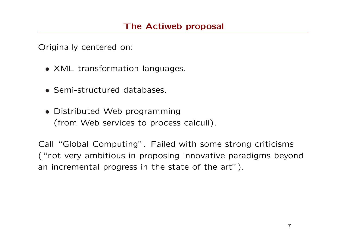Originally centered on:

- XML transformation languages.
- Semi-structured databases.
- Distributed Web programming (from Web services to process calculi).

Call "Global Computing". Failed with some strong criticisms ("not very ambitious in proposing innovative paradigms beyond an incremental progress in the state of the art").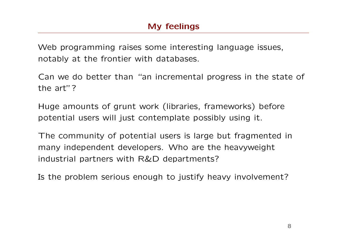Web programming raises some interesting language issues, notably at the frontier with databases.

Can we do better than "an incremental progress in the state of the art"?

Huge amounts of grunt work (libraries, frameworks) before potential users will just contemplate possibly using it.

The community of potential users is large but fragmented in many independent developers. Who are the heavyweight industrial partners with R&D departments?

Is the problem serious enough to justify heavy involvement?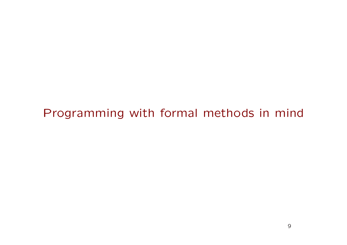### Programming with formal methods in mind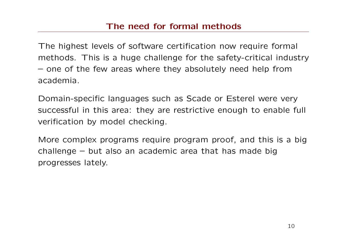#### The need for formal methods

The highest levels of software certification now require formal methods. This is a huge challenge for the safety-critical industry – one of the few areas where they absolutely need help from academia.

Domain-specific languages such as Scade or Esterel were very successful in this area: they are restrictive enough to enable full verification by model checking.

More complex programs require program proof, and this is a big challenge – but also an academic area that has made big progresses lately.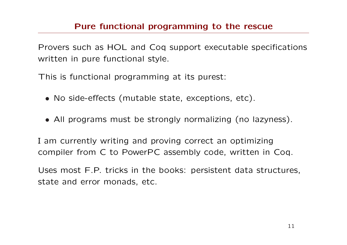#### Pure functional programming to the rescue

Provers such as HOL and Coq support executable specifications written in pure functional style.

This is functional programming at its purest:

- No side-effects (mutable state, exceptions, etc).
- All programs must be strongly normalizing (no lazyness).

I am currently writing and proving correct an optimizing compiler from C to PowerPC assembly code, written in Coq.

Uses most F.P. tricks in the books: persistent data structures, state and error monads, etc.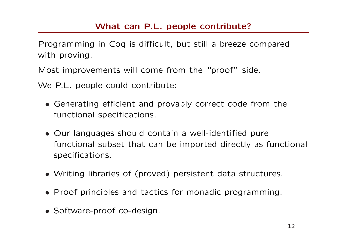#### What can P.L. people contribute?

Programming in Coq is difficult, but still a breeze compared with proving.

Most improvements will come from the "proof" side.

We P.L. people could contribute:

- Generating efficient and provably correct code from the functional specifications.
- Our languages should contain a well-identified pure functional subset that can be imported directly as functional specifications.
- Writing libraries of (proved) persistent data structures.
- Proof principles and tactics for monadic programming.
- Software-proof co-design.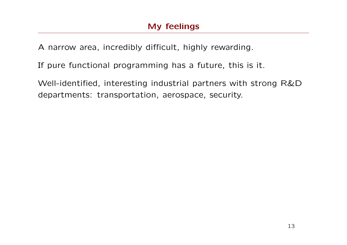A narrow area, incredibly difficult, highly rewarding.

If pure functional programming has a future, this is it.

Well-identified, interesting industrial partners with strong R&D departments: transportation, aerospace, security.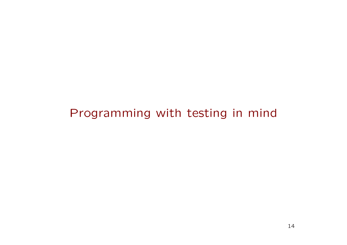## Programming with testing in mind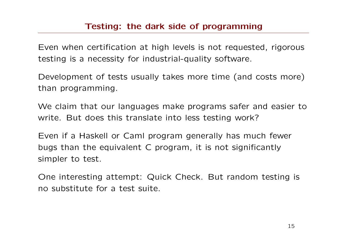#### Testing: the dark side of programming

Even when certification at high levels is not requested, rigorous testing is a necessity for industrial-quality software.

Development of tests usually takes more time (and costs more) than programming.

We claim that our languages make programs safer and easier to write. But does this translate into less testing work?

Even if a Haskell or Caml program generally has much fewer bugs than the equivalent C program, it is not significantly simpler to test.

One interesting attempt: Quick Check. But random testing is no substitute for a test suite.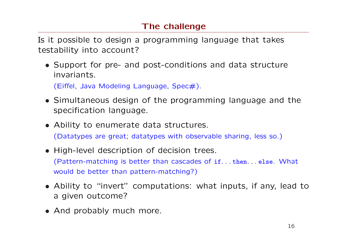### The challenge

Is it possible to design a programming language that takes testability into account?

• Support for pre- and post-conditions and data structure invariants.

(Eiffel, Java Modeling Language, Spec $#$ ).

- Simultaneous design of the programming language and the specification language.
- Ability to enumerate data structures. (Datatypes are great; datatypes with observable sharing, less so.)
- High-level description of decision trees. (Pattern-matching is better than cascades of if. . . then. . . else. What would be better than pattern-matching?)
- Ability to "invert" computations: what inputs, if any, lead to a given outcome?
- And probably much more.